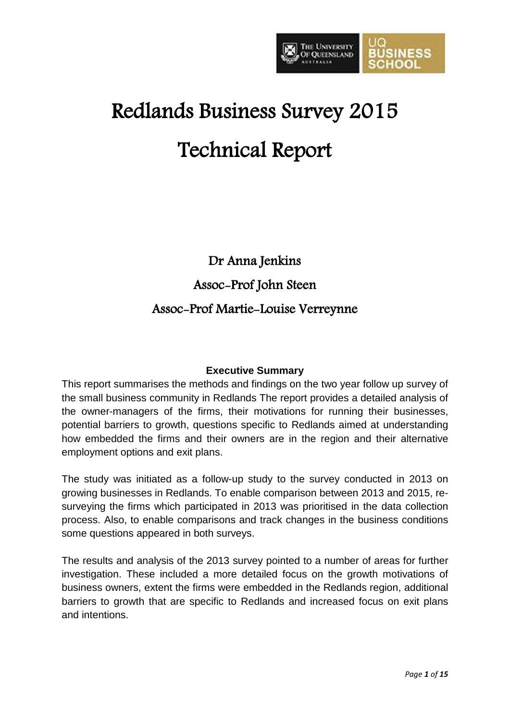

# Redlands Business Survey 2015 Technical Report

Dr Anna Jenkins

Assoc-Prof John Steen

# Assoc-Prof Martie-Louise Verreynne

# **Executive Summary**

This report summarises the methods and findings on the two year follow up survey of the small business community in Redlands The report provides a detailed analysis of the owner-managers of the firms, their motivations for running their businesses, potential barriers to growth, questions specific to Redlands aimed at understanding how embedded the firms and their owners are in the region and their alternative employment options and exit plans.

The study was initiated as a follow-up study to the survey conducted in 2013 on growing businesses in Redlands. To enable comparison between 2013 and 2015, resurveying the firms which participated in 2013 was prioritised in the data collection process. Also, to enable comparisons and track changes in the business conditions some questions appeared in both surveys.

The results and analysis of the 2013 survey pointed to a number of areas for further investigation. These included a more detailed focus on the growth motivations of business owners, extent the firms were embedded in the Redlands region, additional barriers to growth that are specific to Redlands and increased focus on exit plans and intentions.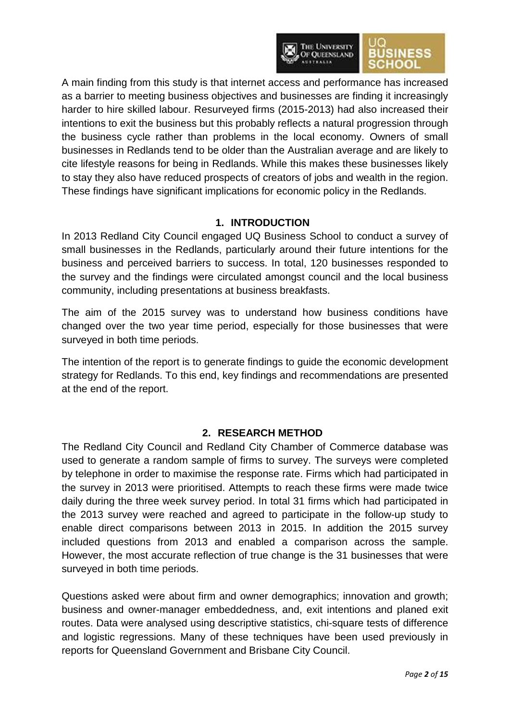

A main finding from this study is that internet access and performance has increased as a barrier to meeting business objectives and businesses are finding it increasingly harder to hire skilled labour. Resurveyed firms (2015-2013) had also increased their intentions to exit the business but this probably reflects a natural progression through the business cycle rather than problems in the local economy. Owners of small businesses in Redlands tend to be older than the Australian average and are likely to cite lifestyle reasons for being in Redlands. While this makes these businesses likely to stay they also have reduced prospects of creators of jobs and wealth in the region. These findings have significant implications for economic policy in the Redlands.

# **1. INTRODUCTION**

In 2013 Redland City Council engaged UQ Business School to conduct a survey of small businesses in the Redlands, particularly around their future intentions for the business and perceived barriers to success. In total, 120 businesses responded to the survey and the findings were circulated amongst council and the local business community, including presentations at business breakfasts.

The aim of the 2015 survey was to understand how business conditions have changed over the two year time period, especially for those businesses that were surveyed in both time periods.

The intention of the report is to generate findings to guide the economic development strategy for Redlands. To this end, key findings and recommendations are presented at the end of the report.

#### **2. RESEARCH METHOD**

The Redland City Council and Redland City Chamber of Commerce database was used to generate a random sample of firms to survey. The surveys were completed by telephone in order to maximise the response rate. Firms which had participated in the survey in 2013 were prioritised. Attempts to reach these firms were made twice daily during the three week survey period. In total 31 firms which had participated in the 2013 survey were reached and agreed to participate in the follow-up study to enable direct comparisons between 2013 in 2015. In addition the 2015 survey included questions from 2013 and enabled a comparison across the sample. However, the most accurate reflection of true change is the 31 businesses that were surveyed in both time periods.

Questions asked were about firm and owner demographics; innovation and growth; business and owner-manager embeddedness, and, exit intentions and planed exit routes. Data were analysed using descriptive statistics, chi-square tests of difference and logistic regressions. Many of these techniques have been used previously in reports for Queensland Government and Brisbane City Council.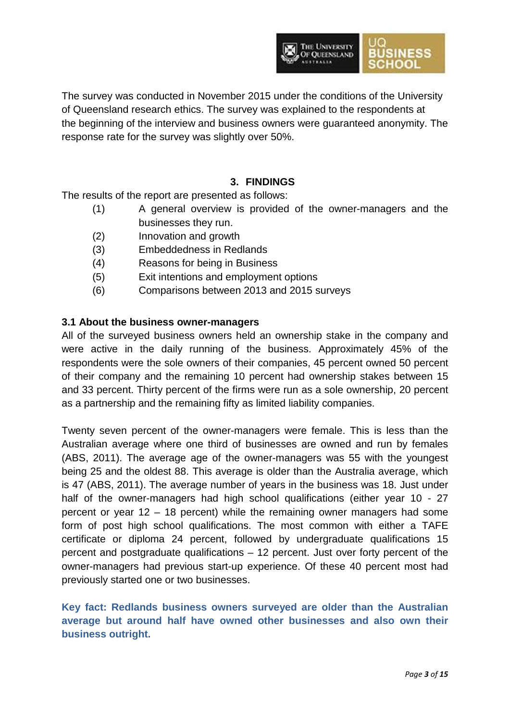

The survey was conducted in November 2015 under the conditions of the University of Queensland research ethics. The survey was explained to the respondents at the beginning of the interview and business owners were guaranteed anonymity. The response rate for the survey was slightly over 50%.

### **3. FINDINGS**

The results of the report are presented as follows:

- (1) A general overview is provided of the owner-managers and the businesses they run.
- (2) Innovation and growth
- (3) Embeddedness in Redlands
- (4) Reasons for being in Business
- (5) Exit intentions and employment options
- (6) Comparisons between 2013 and 2015 surveys

#### **3.1 About the business owner-managers**

All of the surveyed business owners held an ownership stake in the company and were active in the daily running of the business. Approximately 45% of the respondents were the sole owners of their companies, 45 percent owned 50 percent of their company and the remaining 10 percent had ownership stakes between 15 and 33 percent. Thirty percent of the firms were run as a sole ownership, 20 percent as a partnership and the remaining fifty as limited liability companies.

Twenty seven percent of the owner-managers were female. This is less than the Australian average where one third of businesses are owned and run by females (ABS, 2011). The average age of the owner-managers was 55 with the youngest being 25 and the oldest 88. This average is older than the Australia average, which is 47 (ABS, 2011). The average number of years in the business was 18. Just under half of the owner-managers had high school qualifications (either year 10 - 27 percent or year 12 – 18 percent) while the remaining owner managers had some form of post high school qualifications. The most common with either a TAFE certificate or diploma 24 percent, followed by undergraduate qualifications 15 percent and postgraduate qualifications – 12 percent. Just over forty percent of the owner-managers had previous start-up experience. Of these 40 percent most had previously started one or two businesses.

**Key fact: Redlands business owners surveyed are older than the Australian average but around half have owned other businesses and also own their business outright.**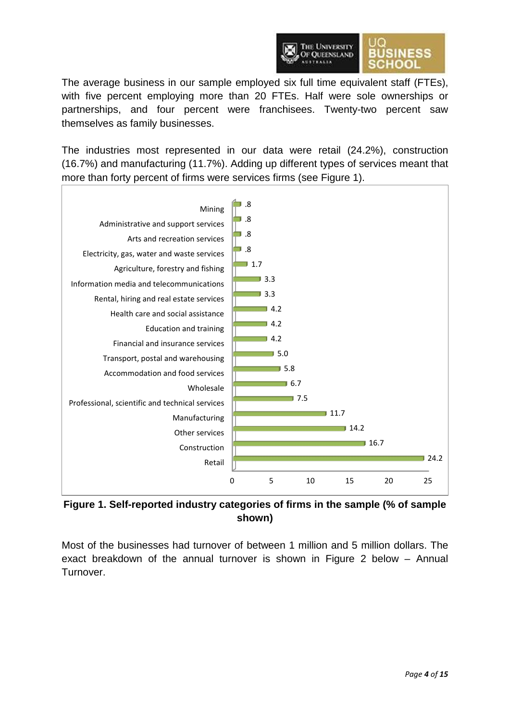

The average business in our sample employed six full time equivalent staff (FTEs), with five percent employing more than 20 FTEs. Half were sole ownerships or partnerships, and four percent were franchisees. Twenty-two percent saw themselves as family businesses.

The industries most represented in our data were retail (24.2%), construction (16.7%) and manufacturing (11.7%). Adding up different types of services meant that more than forty percent of firms were services firms (see Figure 1).



**Figure 1. Self-reported industry categories of firms in the sample (% of sample shown)**

Most of the businesses had turnover of between 1 million and 5 million dollars. The exact breakdown of the annual turnover is shown in Figure 2 below – Annual Turnover.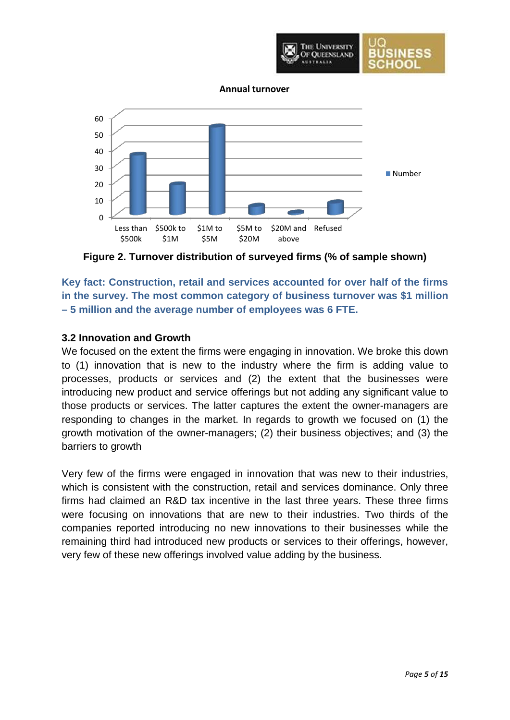

**Annual turnover**



**Figure 2. Turnover distribution of surveyed firms (% of sample shown)**

**Key fact: Construction, retail and services accounted for over half of the firms in the survey. The most common category of business turnover was \$1 million – 5 million and the average number of employees was 6 FTE.**

### **3.2 Innovation and Growth**

We focused on the extent the firms were engaging in innovation. We broke this down to (1) innovation that is new to the industry where the firm is adding value to processes, products or services and (2) the extent that the businesses were introducing new product and service offerings but not adding any significant value to those products or services. The latter captures the extent the owner-managers are responding to changes in the market. In regards to growth we focused on (1) the growth motivation of the owner-managers; (2) their business objectives; and (3) the barriers to growth

Very few of the firms were engaged in innovation that was new to their industries, which is consistent with the construction, retail and services dominance. Only three firms had claimed an R&D tax incentive in the last three years. These three firms were focusing on innovations that are new to their industries. Two thirds of the companies reported introducing no new innovations to their businesses while the remaining third had introduced new products or services to their offerings, however, very few of these new offerings involved value adding by the business.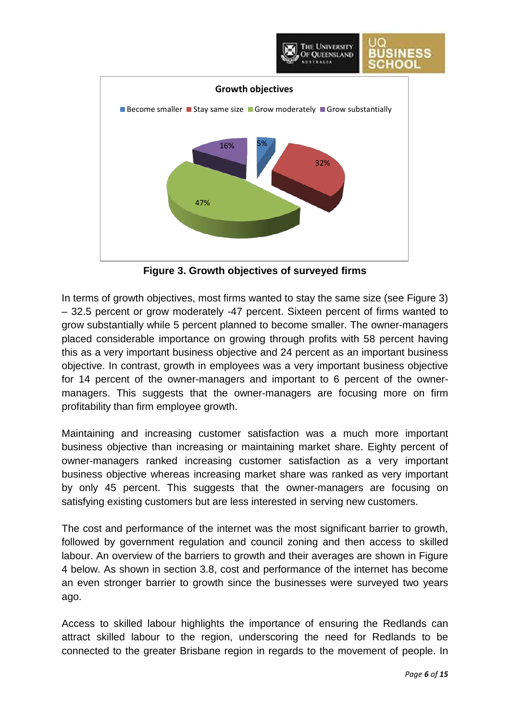

**Figure 3. Growth objectives of surveyed firms**

In terms of growth objectives, most firms wanted to stay the same size (see Figure 3) – 32.5 percent or grow moderately -47 percent. Sixteen percent of firms wanted to grow substantially while 5 percent planned to become smaller. The owner-managers placed considerable importance on growing through profits with 58 percent having this as a very important business objective and 24 percent as an important business objective. In contrast, growth in employees was a very important business objective for 14 percent of the owner-managers and important to 6 percent of the ownermanagers. This suggests that the owner-managers are focusing more on firm profitability than firm employee growth.

Maintaining and increasing customer satisfaction was a much more important business objective than increasing or maintaining market share. Eighty percent of owner-managers ranked increasing customer satisfaction as a very important business objective whereas increasing market share was ranked as very important by only 45 percent. This suggests that the owner-managers are focusing on satisfying existing customers but are less interested in serving new customers.

The cost and performance of the internet was the most significant barrier to growth, followed by government regulation and council zoning and then access to skilled labour. An overview of the barriers to growth and their averages are shown in Figure 4 below. As shown in section 3.8, cost and performance of the internet has become an even stronger barrier to growth since the businesses were surveyed two years ago.

Access to skilled labour highlights the importance of ensuring the Redlands can attract skilled labour to the region, underscoring the need for Redlands to be connected to the greater Brisbane region in regards to the movement of people. In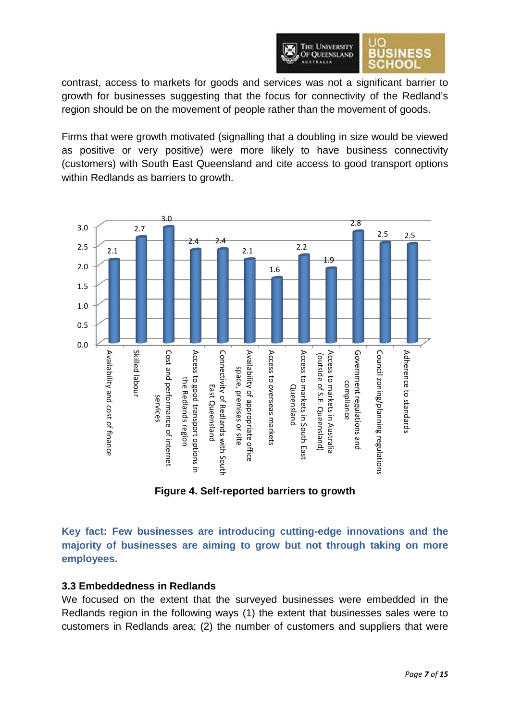

contrast, access to markets for goods and services was not a significant barrier to growth for businesses suggesting that the focus for connectivity of the Redland's region should be on the movement of people rather than the movement of goods.

Firms that were growth motivated (signalling that a doubling in size would be viewed as positive or very positive) were more likely to have business connectivity (customers) with South East Queensland and cite access to good transport options within Redlands as barriers to growth.



**Figure 4. Self-reported barriers to growth**

**Key fact: Few businesses are introducing cutting-edge innovations and the majority of businesses are aiming to grow but not through taking on more employees.**

#### **3.3 Embeddedness in Redlands**

We focused on the extent that the surveyed businesses were embedded in the Redlands region in the following ways (1) the extent that businesses sales were to customers in Redlands area; (2) the number of customers and suppliers that were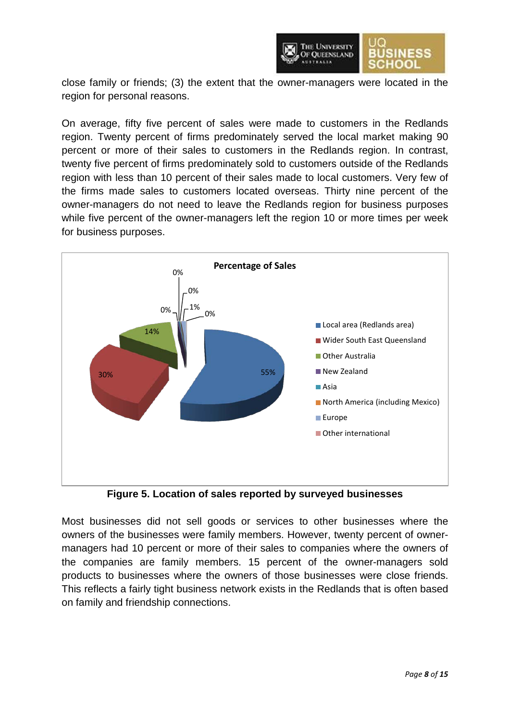

close family or friends; (3) the extent that the owner-managers were located in the region for personal reasons.

On average, fifty five percent of sales were made to customers in the Redlands region. Twenty percent of firms predominately served the local market making 90 percent or more of their sales to customers in the Redlands region. In contrast, twenty five percent of firms predominately sold to customers outside of the Redlands region with less than 10 percent of their sales made to local customers. Very few of the firms made sales to customers located overseas. Thirty nine percent of the owner-managers do not need to leave the Redlands region for business purposes while five percent of the owner-managers left the region 10 or more times per week for business purposes.



**Figure 5. Location of sales reported by surveyed businesses**

Most businesses did not sell goods or services to other businesses where the owners of the businesses were family members. However, twenty percent of ownermanagers had 10 percent or more of their sales to companies where the owners of the companies are family members. 15 percent of the owner-managers sold products to businesses where the owners of those businesses were close friends. This reflects a fairly tight business network exists in the Redlands that is often based on family and friendship connections.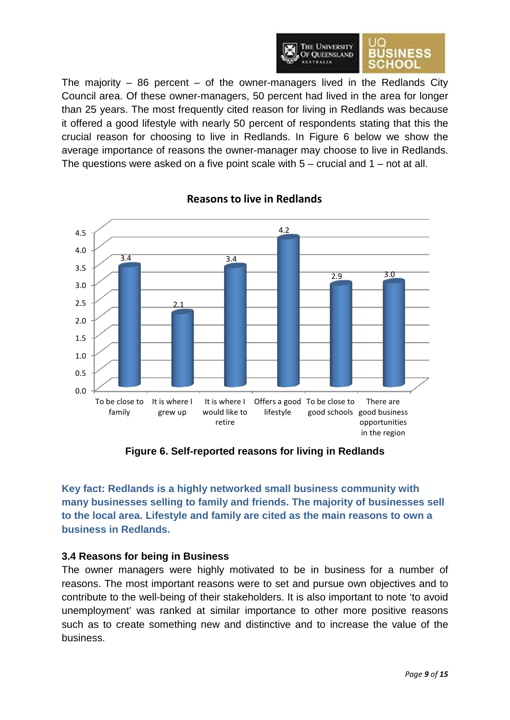

The majority  $-$  86 percent  $-$  of the owner-managers lived in the Redlands City Council area. Of these owner-managers, 50 percent had lived in the area for longer than 25 years. The most frequently cited reason for living in Redlands was because it offered a good lifestyle with nearly 50 percent of respondents stating that this the crucial reason for choosing to live in Redlands. In Figure 6 below we show the average importance of reasons the owner-manager may choose to live in Redlands. The questions were asked on a five point scale with  $5 -$  crucial and  $1 -$  not at all.



# **Reasons to live in Redlands**

**Figure 6. Self-reported reasons for living in Redlands**

**Key fact: Redlands is a highly networked small business community with many businesses selling to family and friends. The majority of businesses sell to the local area. Lifestyle and family are cited as the main reasons to own a business in Redlands.**

# **3.4 Reasons for being in Business**

The owner managers were highly motivated to be in business for a number of reasons. The most important reasons were to set and pursue own objectives and to contribute to the well-being of their stakeholders. It is also important to note 'to avoid unemployment' was ranked at similar importance to other more positive reasons such as to create something new and distinctive and to increase the value of the business.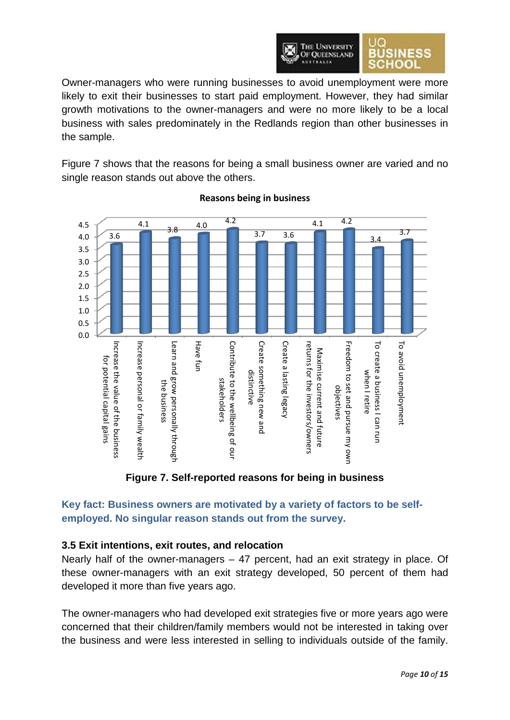

Owner-managers who were running businesses to avoid unemployment were more likely to exit their businesses to start paid employment. However, they had similar growth motivations to the owner-managers and were no more likely to be a local business with sales predominately in the Redlands region than other businesses in the sample.

Figure 7 shows that the reasons for being a small business owner are varied and no single reason stands out above the others.



### **Reasons being in business**

**Figure 7. Self-reported reasons for being in business**

# **Key fact: Business owners are motivated by a variety of factors to be selfemployed. No singular reason stands out from the survey.**

# **3.5 Exit intentions, exit routes, and relocation**

Nearly half of the owner-managers – 47 percent, had an exit strategy in place. Of these owner-managers with an exit strategy developed, 50 percent of them had developed it more than five years ago.

The owner-managers who had developed exit strategies five or more years ago were concerned that their children/family members would not be interested in taking over the business and were less interested in selling to individuals outside of the family.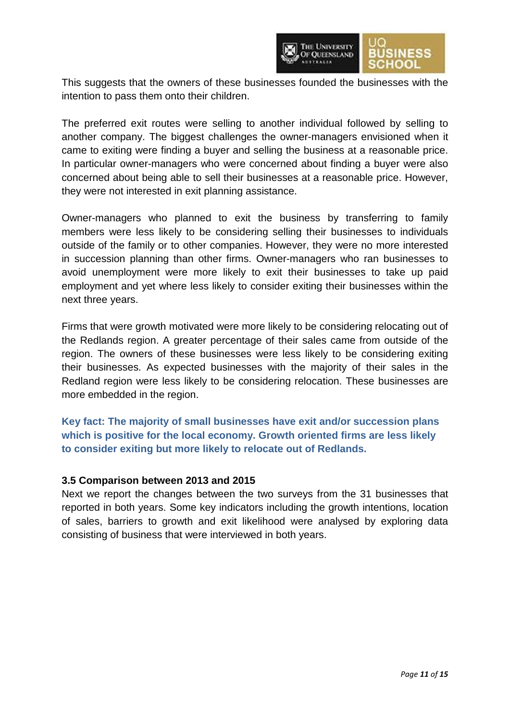

This suggests that the owners of these businesses founded the businesses with the intention to pass them onto their children.

The preferred exit routes were selling to another individual followed by selling to another company. The biggest challenges the owner-managers envisioned when it came to exiting were finding a buyer and selling the business at a reasonable price. In particular owner-managers who were concerned about finding a buyer were also concerned about being able to sell their businesses at a reasonable price. However, they were not interested in exit planning assistance.

Owner-managers who planned to exit the business by transferring to family members were less likely to be considering selling their businesses to individuals outside of the family or to other companies. However, they were no more interested in succession planning than other firms. Owner-managers who ran businesses to avoid unemployment were more likely to exit their businesses to take up paid employment and yet where less likely to consider exiting their businesses within the next three years.

Firms that were growth motivated were more likely to be considering relocating out of the Redlands region. A greater percentage of their sales came from outside of the region. The owners of these businesses were less likely to be considering exiting their businesses. As expected businesses with the majority of their sales in the Redland region were less likely to be considering relocation. These businesses are more embedded in the region.

**Key fact: The majority of small businesses have exit and/or succession plans which is positive for the local economy. Growth oriented firms are less likely to consider exiting but more likely to relocate out of Redlands.**

#### **3.5 Comparison between 2013 and 2015**

Next we report the changes between the two surveys from the 31 businesses that reported in both years. Some key indicators including the growth intentions, location of sales, barriers to growth and exit likelihood were analysed by exploring data consisting of business that were interviewed in both years.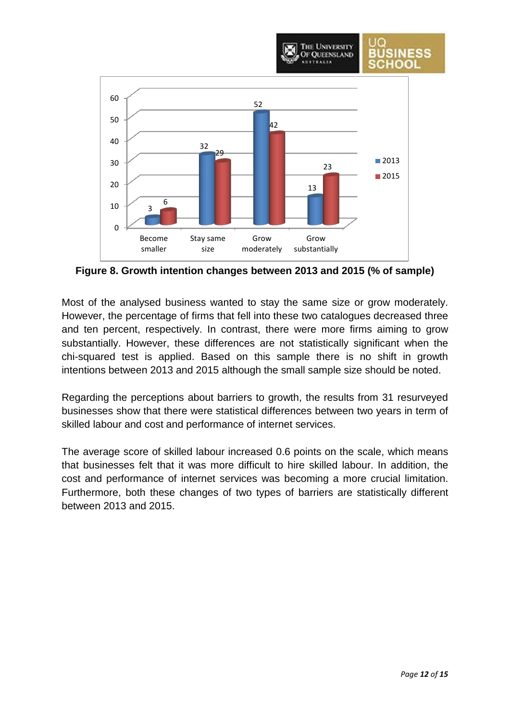

**Figure 8. Growth intention changes between 2013 and 2015 (% of sample)**

Most of the analysed business wanted to stay the same size or grow moderately. However, the percentage of firms that fell into these two catalogues decreased three and ten percent, respectively. In contrast, there were more firms aiming to grow substantially. However, these differences are not statistically significant when the chi-squared test is applied. Based on this sample there is no shift in growth intentions between 2013 and 2015 although the small sample size should be noted.

Regarding the perceptions about barriers to growth, the results from 31 resurveyed businesses show that there were statistical differences between two years in term of skilled labour and cost and performance of internet services.

The average score of skilled labour increased 0.6 points on the scale, which means that businesses felt that it was more difficult to hire skilled labour. In addition, the cost and performance of internet services was becoming a more crucial limitation. Furthermore, both these changes of two types of barriers are statistically different between 2013 and 2015.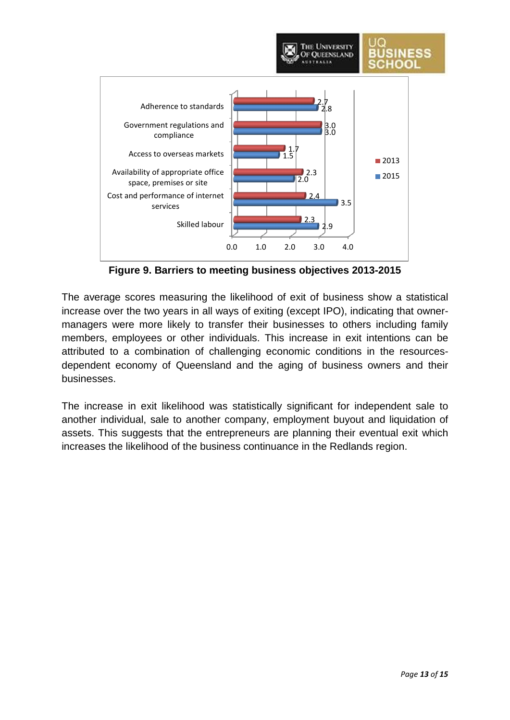

**Figure 9. Barriers to meeting business objectives 2013-2015**

The average scores measuring the likelihood of exit of business show a statistical increase over the two years in all ways of exiting (except IPO), indicating that ownermanagers were more likely to transfer their businesses to others including family members, employees or other individuals. This increase in exit intentions can be attributed to a combination of challenging economic conditions in the resourcesdependent economy of Queensland and the aging of business owners and their businesses.

The increase in exit likelihood was statistically significant for independent sale to another individual, sale to another company, employment buyout and liquidation of assets. This suggests that the entrepreneurs are planning their eventual exit which increases the likelihood of the business continuance in the Redlands region.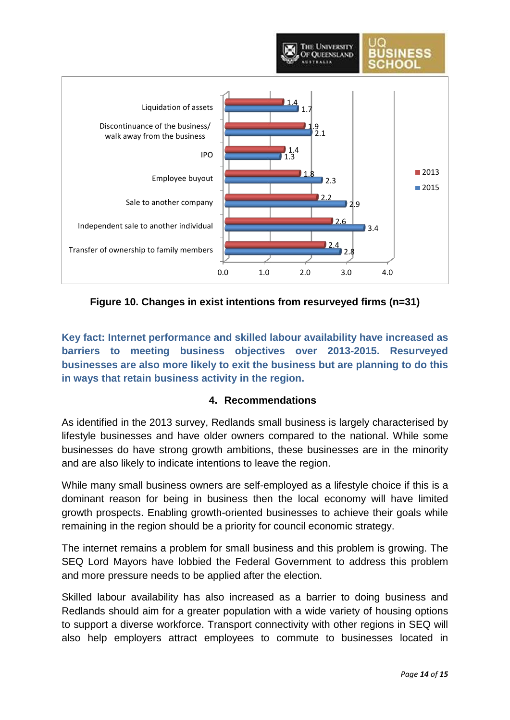

**Figure 10. Changes in exist intentions from resurveyed firms (n=31)**

**Key fact: Internet performance and skilled labour availability have increased as barriers to meeting business objectives over 2013-2015. Resurveyed businesses are also more likely to exit the business but are planning to do this in ways that retain business activity in the region.**

# **4. Recommendations**

As identified in the 2013 survey, Redlands small business is largely characterised by lifestyle businesses and have older owners compared to the national. While some businesses do have strong growth ambitions, these businesses are in the minority and are also likely to indicate intentions to leave the region.

While many small business owners are self-employed as a lifestyle choice if this is a dominant reason for being in business then the local economy will have limited growth prospects. Enabling growth-oriented businesses to achieve their goals while remaining in the region should be a priority for council economic strategy.

The internet remains a problem for small business and this problem is growing. The SEQ Lord Mayors have lobbied the Federal Government to address this problem and more pressure needs to be applied after the election.

Skilled labour availability has also increased as a barrier to doing business and Redlands should aim for a greater population with a wide variety of housing options to support a diverse workforce. Transport connectivity with other regions in SEQ will also help employers attract employees to commute to businesses located in